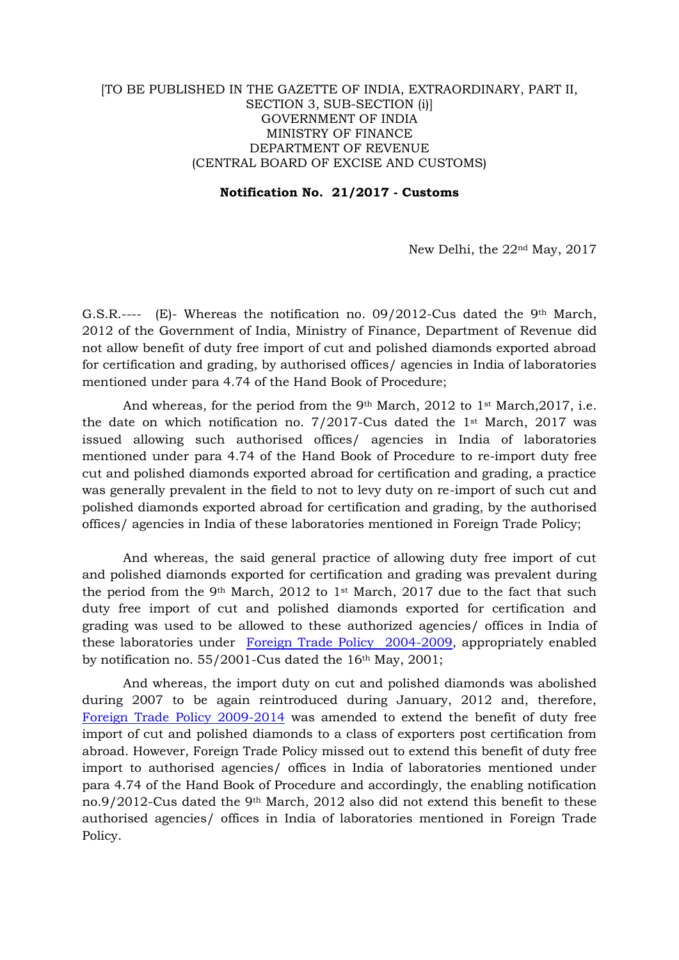## [TO BE PUBLISHED IN THE GAZETTE OF INDIA, EXTRAORDINARY, PART II, SECTION 3, SUB-SECTION (i)] GOVERNMENT OF INDIA MINISTRY OF FINANCE DEPARTMENT OF REVENUE (CENTRAL BOARD OF EXCISE AND CUSTOMS)

## **Notification No. 21/2017 - Customs**

New Delhi, the 22nd May, 2017

G.S.R.---- (E)- Whereas the notification no.  $09/2012$ -Cus dated the 9<sup>th</sup> March, 2012 of the Government of India, Ministry of Finance, Department of Revenue did not allow benefit of duty free import of cut and polished diamonds exported abroad for certification and grading, by authorised offices/ agencies in India of laboratories mentioned under para 4.74 of the Hand Book of Procedure;

And whereas, for the period from the 9th March, 2012 to 1st March,2017, i.e. the date on which notification no. 7/2017-Cus dated the 1st March, 2017 was issued allowing such authorised offices/ agencies in India of laboratories mentioned under para 4.74 of the Hand Book of Procedure to re-import duty free cut and polished diamonds exported abroad for certification and grading, a practice was generally prevalent in the field to not to levy duty on re-import of such cut and polished diamonds exported abroad for certification and grading, by the authorised offices/ agencies in India of these laboratories mentioned in Foreign Trade Policy;

And whereas, the said general practice of allowing duty free import of cut and polished diamonds exported for certification and grading was prevalent during the period from the 9th March, 2012 to 1st March, 2017 due to the fact that such duty free import of cut and polished diamonds exported for certification and grading was used to be allowed to these authorized agencies/ offices in India of these laboratories under Foreign Trade Policy 2004-2009, appropriately enabled by notification no.  $55/2001$ -Cus dated the 16<sup>th</sup> May, 2001;

And whereas, the import duty on cut and polished diamonds was abolished during 2007 to be again reintroduced during January, 2012 and, therefore, Foreign Trade Policy 2009-2014 was amended to extend the benefit of duty free import of cut and polished diamonds to a class of exporters post certification from abroad. However, Foreign Trade Policy missed out to extend this benefit of duty free import to authorised agencies/ offices in India of laboratories mentioned under para 4.74 of the Hand Book of Procedure and accordingly, the enabling notification no.9/2012-Cus dated the 9<sup>th</sup> March, 2012 also did not extend this benefit to these authorised agencies/ offices in India of laboratories mentioned in Foreign Trade Policy.